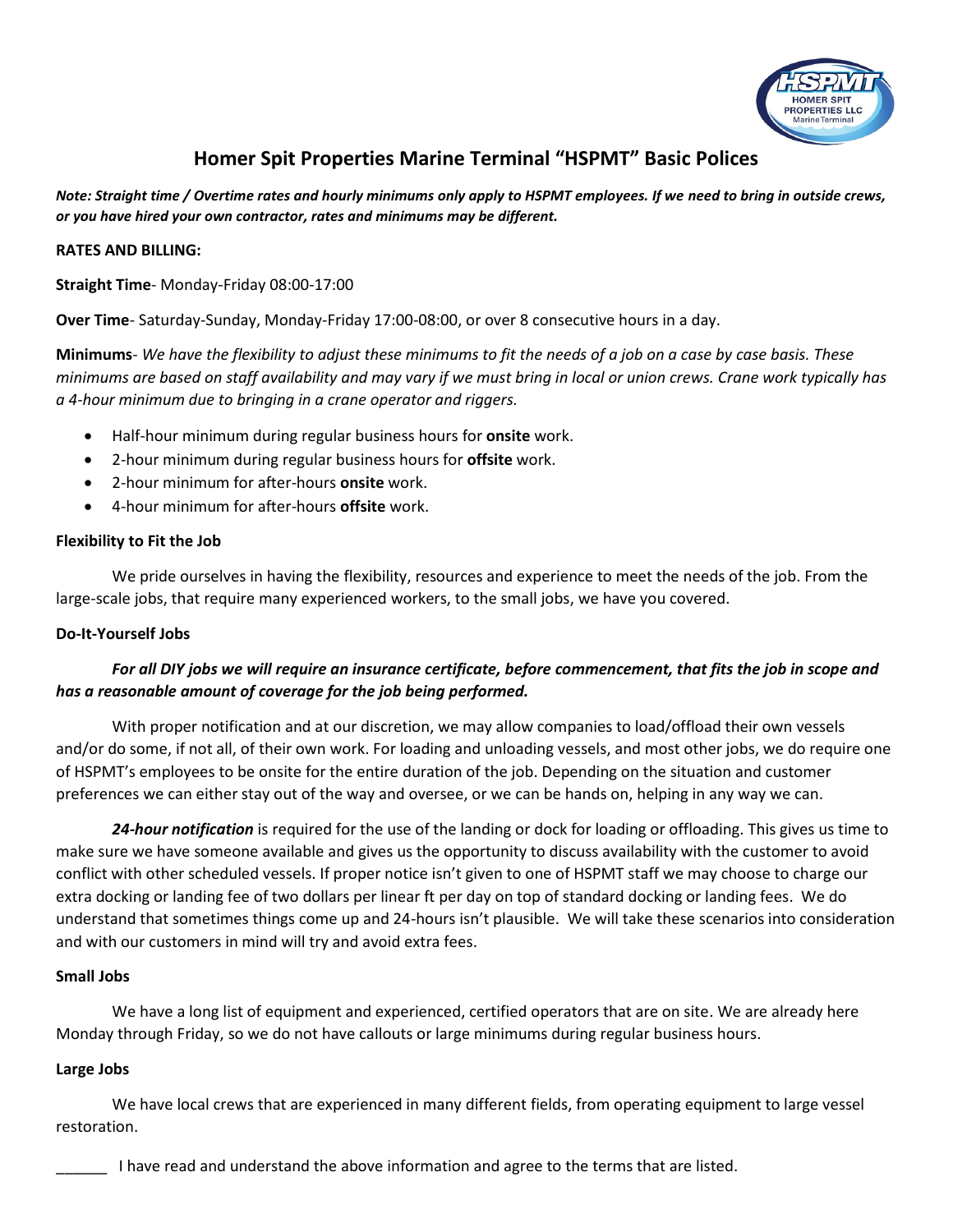

# **Homer Spit Properties Marine Terminal "HSPMT" Basic Polices**

*Note: Straight time / Overtime rates and hourly minimums only apply to HSPMT employees. If we need to bring in outside crews, or you have hired your own contractor, rates and minimums may be different.* 

#### **RATES AND BILLING:**

**Straight Time**- Monday-Friday 08:00-17:00

**Over Time**- Saturday-Sunday, Monday-Friday 17:00-08:00, or over 8 consecutive hours in a day.

**Minimums**- *We have the flexibility to adjust these minimums to fit the needs of a job on a case by case basis. These minimums are based on staff availability and may vary if we must bring in local or union crews. Crane work typically has a 4-hour minimum due to bringing in a crane operator and riggers.*

- Half-hour minimum during regular business hours for **onsite** work.
- 2-hour minimum during regular business hours for **offsite** work.
- 2-hour minimum for after-hours **onsite** work.
- 4-hour minimum for after-hours **offsite** work.

#### **Flexibility to Fit the Job**

We pride ourselves in having the flexibility, resources and experience to meet the needs of the job. From the large-scale jobs, that require many experienced workers, to the small jobs, we have you covered.

## **Do-It-Yourself Jobs**

## *For all DIY jobs we will require an insurance certificate, before commencement, that fits the job in scope and has a reasonable amount of coverage for the job being performed.*

With proper notification and at our discretion, we may allow companies to load/offload their own vessels and/or do some, if not all, of their own work. For loading and unloading vessels, and most other jobs, we do require one of HSPMT's employees to be onsite for the entire duration of the job. Depending on the situation and customer preferences we can either stay out of the way and oversee, or we can be hands on, helping in any way we can.

*24-hour notification* is required for the use of the landing or dock for loading or offloading. This gives us time to make sure we have someone available and gives us the opportunity to discuss availability with the customer to avoid conflict with other scheduled vessels. If proper notice isn't given to one of HSPMT staff we may choose to charge our extra docking or landing fee of two dollars per linear ft per day on top of standard docking or landing fees. We do understand that sometimes things come up and 24-hours isn't plausible. We will take these scenarios into consideration and with our customers in mind will try and avoid extra fees.

## **Small Jobs**

We have a long list of equipment and experienced, certified operators that are on site. We are already here Monday through Friday, so we do not have callouts or large minimums during regular business hours.

## **Large Jobs**

We have local crews that are experienced in many different fields, from operating equipment to large vessel restoration.

I have read and understand the above information and agree to the terms that are listed.